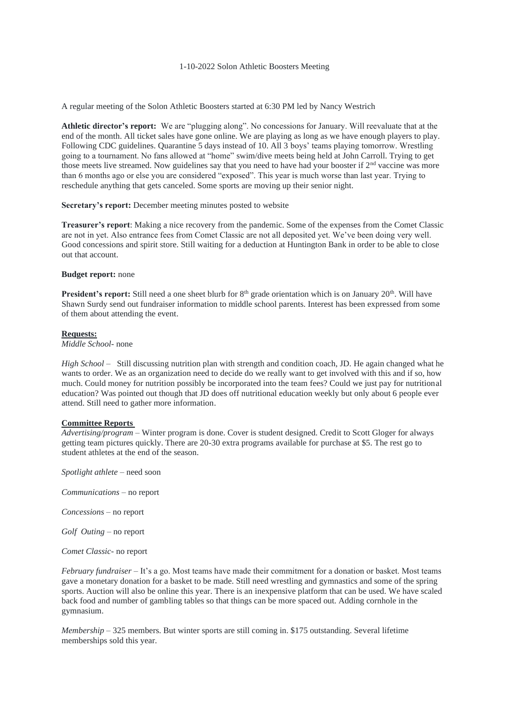### 1-10-2022 Solon Athletic Boosters Meeting

A regular meeting of the Solon Athletic Boosters started at 6:30 PM led by Nancy Westrich

**Athletic director's report:** We are "plugging along". No concessions for January. Will reevaluate that at the end of the month. All ticket sales have gone online. We are playing as long as we have enough players to play. Following CDC guidelines. Quarantine 5 days instead of 10. All 3 boys' teams playing tomorrow. Wrestling going to a tournament. No fans allowed at "home" swim/dive meets being held at John Carroll. Trying to get those meets live streamed. Now guidelines say that you need to have had your booster if 2<sup>nd</sup> vaccine was more than 6 months ago or else you are considered "exposed". This year is much worse than last year. Trying to reschedule anything that gets canceled. Some sports are moving up their senior night.

# **Secretary's report:** December meeting minutes posted to website

**Treasurer's report**: Making a nice recovery from the pandemic. Some of the expenses from the Comet Classic are not in yet. Also entrance fees from Comet Classic are not all deposited yet. We've been doing very well. Good concessions and spirit store. Still waiting for a deduction at Huntington Bank in order to be able to close out that account.

### **Budget report:** none

**President's report:** Still need a one sheet blurb for 8<sup>th</sup> grade orientation which is on January 20<sup>th</sup>. Will have Shawn Surdy send out fundraiser information to middle school parents. Interest has been expressed from some of them about attending the event.

### **Requests:**

*Middle School*- none

*High School* – Still discussing nutrition plan with strength and condition coach, JD. He again changed what he wants to order. We as an organization need to decide do we really want to get involved with this and if so, how much. Could money for nutrition possibly be incorporated into the team fees? Could we just pay for nutritional education? Was pointed out though that JD does off nutritional education weekly but only about 6 people ever attend. Still need to gather more information.

# **Committee Reports**

*Advertising/program* – Winter program is done. Cover is student designed. Credit to Scott Gloger for always getting team pictures quickly. There are 20-30 extra programs available for purchase at \$5. The rest go to student athletes at the end of the season.

*Spotlight athlete* – need soon

*Communications* – no report

*Concessions* – no report

*Golf Outing –* no report

*Comet Classic*- no report

*February fundraiser* – It's a go. Most teams have made their commitment for a donation or basket. Most teams gave a monetary donation for a basket to be made. Still need wrestling and gymnastics and some of the spring sports. Auction will also be online this year. There is an inexpensive platform that can be used. We have scaled back food and number of gambling tables so that things can be more spaced out. Adding cornhole in the gymnasium.

*Membership* – 325 members. But winter sports are still coming in. \$175 outstanding. Several lifetime memberships sold this year.